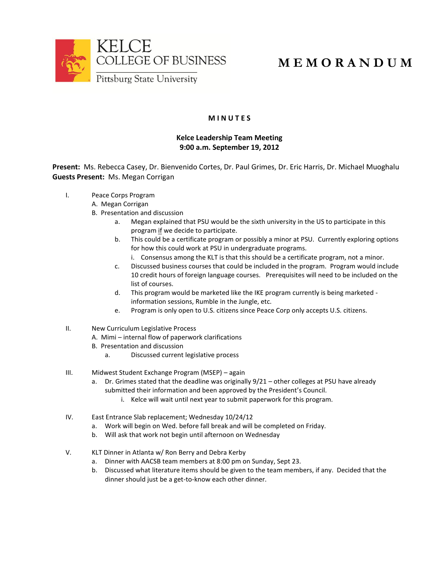

## **M E M O R A N D U M**

## **M I N U T E S**

## **Kelce Leadership Team Meeting 9:00 a.m. September 19, 2012**

**Present:** Ms. Rebecca Casey, Dr. Bienvenido Cortes, Dr. Paul Grimes, Dr. Eric Harris, Dr. Michael Muoghalu **Guests Present:** Ms. Megan Corrigan

- I. Peace Corps Program
	- A. Megan Corrigan
	- B. Presentation and discussion
		- a. Megan explained that PSU would be the sixth university in the US to participate in this program if we decide to participate.
		- b. This could be a certificate program or possibly a minor at PSU. Currently exploring options for how this could work at PSU in undergraduate programs.
			- i. Consensus among the KLT is that this should be a certificate program, not a minor.
		- c. Discussed business courses that could be included in the program. Program would include 10 credit hours of foreign language courses. Prerequisites will need to be included on the list of courses.
		- d. This program would be marketed like the IKE program currently is being marketed information sessions, Rumble in the Jungle, etc.
		- e. Program is only open to U.S. citizens since Peace Corp only accepts U.S. citizens.
- II. New Curriculum Legislative Process
	- A. Mimi internal flow of paperwork clarifications
	- B. Presentation and discussion
		- a. Discussed current legislative process
- III. Midwest Student Exchange Program (MSEP) again
	- a. Dr. Grimes stated that the deadline was originally 9/21 other colleges at PSU have already submitted their information and been approved by the President's Council.
		- i. Kelce will wait until next year to submit paperwork for this program.
- IV. East Entrance Slab replacement; Wednesday 10/24/12
	- a. Work will begin on Wed. before fall break and will be completed on Friday.
	- b. Will ask that work not begin until afternoon on Wednesday
- V. KLT Dinner in Atlanta w/ Ron Berry and Debra Kerby
	- a. Dinner with AACSB team members at 8:00 pm on Sunday, Sept 23.
	- b. Discussed what literature items should be given to the team members, if any. Decided that the dinner should just be a get-to-know each other dinner.